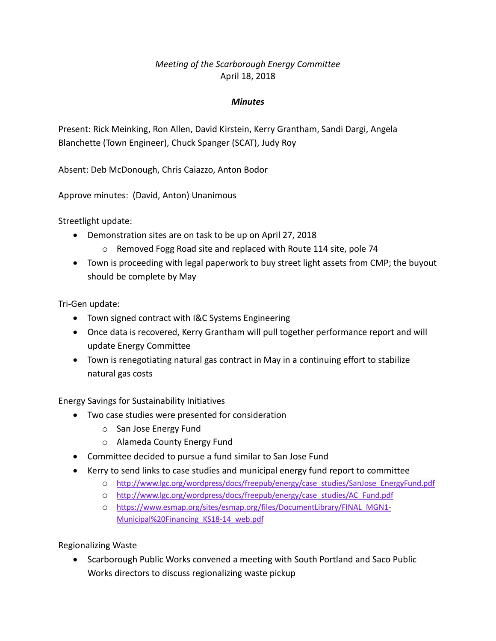## *Meeting of the Scarborough Energy Committee* April 18, 2018

## *Minutes*

Present: Rick Meinking, Ron Allen, David Kirstein, Kerry Grantham, Sandi Dargi, Angela Blanchette (Town Engineer), Chuck Spanger (SCAT), Judy Roy

Absent: Deb McDonough, Chris Caiazzo, Anton Bodor

Approve minutes: (David, Anton) Unanimous

Streetlight update:

- Demonstration sites are on task to be up on April 27, 2018
	- o Removed Fogg Road site and replaced with Route 114 site, pole 74
- Town is proceeding with legal paperwork to buy street light assets from CMP; the buyout should be complete by May

Tri-Gen update:

- Town signed contract with I&C Systems Engineering
- Once data is recovered, Kerry Grantham will pull together performance report and will update Energy Committee
- Town is renegotiating natural gas contract in May in a continuing effort to stabilize natural gas costs

Energy Savings for Sustainability Initiatives

- Two case studies were presented for consideration
	- o San Jose Energy Fund
	- o Alameda County Energy Fund
- Committee decided to pursue a fund similar to San Jose Fund
- Kerry to send links to case studies and municipal energy fund report to committee
	- o [http://www.lgc.org/wordpress/docs/freepub/energy/case\\_studies/SanJose\\_EnergyFund.pdf](http://www.lgc.org/wordpress/docs/freepub/energy/case_studies/SanJose_EnergyFund.pdf)
	- o [http://www.lgc.org/wordpress/docs/freepub/energy/case\\_studies/AC\\_Fund.pdf](http://www.lgc.org/wordpress/docs/freepub/energy/case_studies/AC_Fund.pdf)
	- o [https://www.esmap.org/sites/esmap.org/files/DocumentLibrary/FINAL\\_MGN1-](https://www.esmap.org/sites/esmap.org/files/DocumentLibrary/FINAL_MGN1-Municipal%20Financing_KS18-14_web.pdf) [Municipal%20Financing\\_KS18-14\\_web.pdf](https://www.esmap.org/sites/esmap.org/files/DocumentLibrary/FINAL_MGN1-Municipal%20Financing_KS18-14_web.pdf)

Regionalizing Waste

 Scarborough Public Works convened a meeting with South Portland and Saco Public Works directors to discuss regionalizing waste pickup